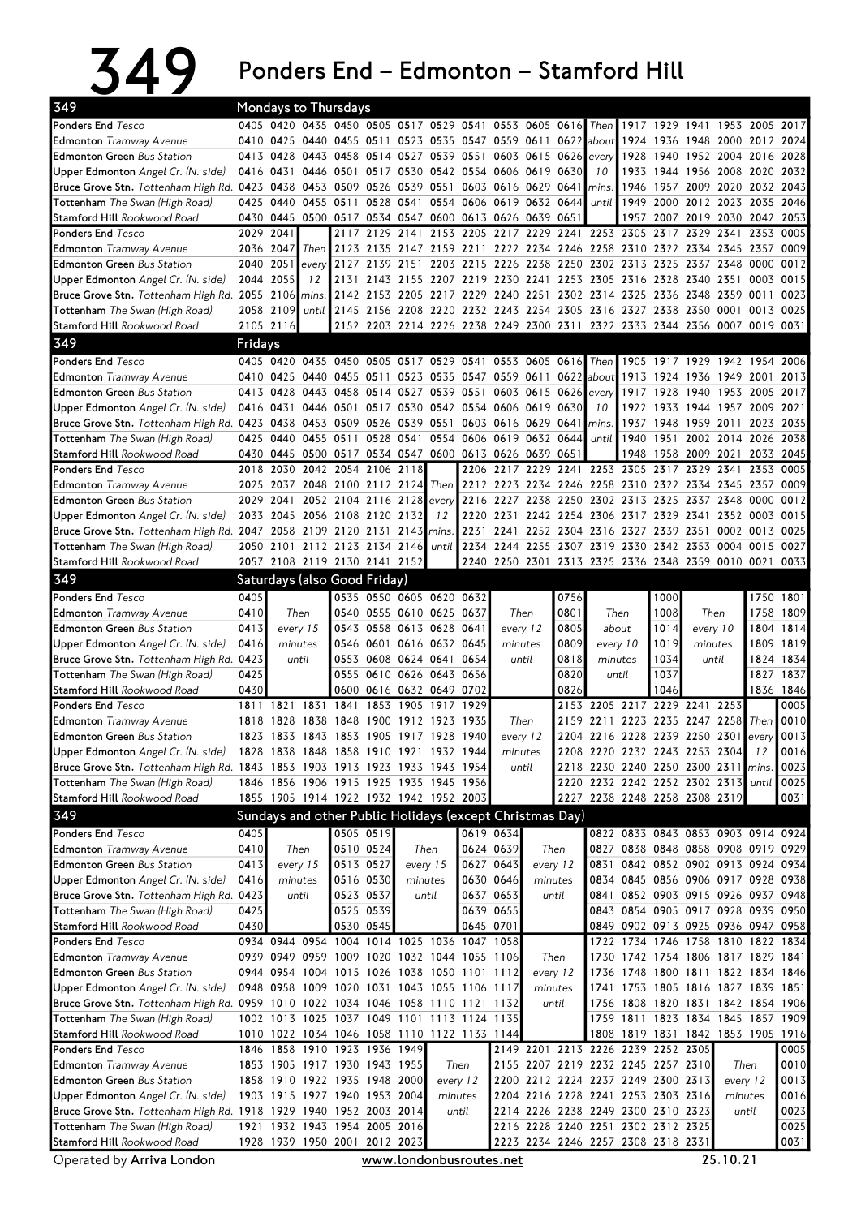## 349 Ponders End – Edmonton – Stamford Hill

| 349                                                                                                |              |              |                | Mondays to Thursdays                                        |                                                 |                          |             |                          |                                                                            |           |              |                                          |           |              |                                    |                                  |             |                   |
|----------------------------------------------------------------------------------------------------|--------------|--------------|----------------|-------------------------------------------------------------|-------------------------------------------------|--------------------------|-------------|--------------------------|----------------------------------------------------------------------------|-----------|--------------|------------------------------------------|-----------|--------------|------------------------------------|----------------------------------|-------------|-------------------|
| <b>Ponders End Tesco</b>                                                                           |              |              |                | 0405 0420 0435 0450 0505 0517 0529 0541 0553 0605 0616 Then |                                                 |                          |             |                          |                                                                            |           |              |                                          |           | 1917 1929    | 1941                               | 1953 2005 2017                   |             |                   |
| <b>Edmonton</b> Tramway Avenue                                                                     | 0410         | 0425         |                | 0440 0455 0511 0523 0535 0547 0559 0611 0622                |                                                 |                          |             |                          |                                                                            |           |              | labout                                   | 1924      | 1936         |                                    | 1948 2000 2012 2024              |             |                   |
| <b>Edmonton Green Bus Station</b>                                                                  |              | 0413 0428    |                | 0443 0458                                                   | 0514                                            | 0527                     |             |                          | 0539 0551 0603 0615 0626 every                                             |           |              |                                          | 1928      | 1940         |                                    | 1952 2004 2016                   |             | 2028              |
| Upper Edmonton Angel Cr. (N. side)                                                                 | 0416         | 0431         |                | 0446 0501 0517 0530 0542 0554 0606                          |                                                 |                          |             |                          |                                                                            | 0619 0630 |              | 10                                       | 1933      | 1944         |                                    | 1956 2008 2020                   |             | 2032              |
| Bruce Grove Stn. Tottenham High Rd. 0423                                                           |              | 0438         |                | 0453 0509 0526                                              |                                                 | 0539                     | 0551        |                          | 0603 0616                                                                  | 0629 0641 |              | lmins.                                   | 1946      |              | 1957 2009 2020 2032 2043           |                                  |             |                   |
| <b>Tottenham</b> The Swan (High Road)                                                              | 0425         | 0440         |                | 0455 0511                                                   |                                                 |                          |             |                          | 0528 0541 0554 0606 0619 0632 0644                                         |           |              | until                                    | 1949      | 2000         |                                    | 2012 2023 2035                   |             | 2046              |
| <b>Stamford Hill Rookwood Road</b>                                                                 | 0430         |              |                | 0445 0500 0517 0534 0547 0600 0613 0626 0639 0651           |                                                 |                          |             |                          |                                                                            |           |              |                                          |           |              | 1957 2007 2019 2030 2042 2053      |                                  |             |                   |
| <b>Ponders End Tesco</b>                                                                           |              | 2029 2041    |                | 2117                                                        | 2129 2141                                       |                          |             |                          | 2153 2205 2217 2229 2241                                                   |           |              | 2253 2305                                |           | 2317         | 2329                               | 2341                             | 2353 0005   |                   |
| <b>Edmonton</b> Tramway Avenue                                                                     | 2036 2047    |              | Then           | 2123                                                        | 2135                                            |                          |             |                          | 2147 2159 2211 2222 2234 2246 2258 2310                                    |           |              |                                          |           | 2322         |                                    | 2334 2345 2357 0009              |             |                   |
| <b>Edmonton Green Bus Station</b>                                                                  | 2040         | 2051         | every          | 2127                                                        | 2139                                            | 2151                     | 2203        |                          | 2215 2226                                                                  | 2238      | 2250         | 2302                                     | 2313      | 2325         |                                    | 2337 2348 0000                   |             | 0012              |
| Upper Edmonton Angel Cr. (N. side)                                                                 | 2044 2055    |              | 12             | 2131                                                        | 2143                                            |                          |             |                          | 2155 2207 2219 2230 2241 2253 2305 2316 2328 2340 2351 0003 0015           |           |              |                                          |           |              |                                    |                                  |             |                   |
| Bruce Grove Stn. Tottenham High Rd. 2055 2106 mins                                                 |              |              |                |                                                             |                                                 |                          |             |                          | 2142 2153 2205 2217 2229 2240 2251 2302 2314 2325 2336 2348 2359 0011      |           |              |                                          |           |              |                                    |                                  |             | 0023              |
| <b>Tottenham</b> The Swan (High Road)                                                              |              | 2058 2109    |                | until 2145 2156                                             |                                                 |                          |             |                          | 2208 2220 2232 2243 2254 2305 2316 2327 2338 2350 0001                     |           |              |                                          |           |              |                                    |                                  | 0013        | 0025              |
| Stamford Hill Rookwood Road                                                                        |              | 2105 2116    |                |                                                             |                                                 |                          |             |                          | 2152 2203 2214 2226 2238 2249 2300 2311 2322 2333 2344 2356 0007 0019 0031 |           |              |                                          |           |              |                                    |                                  |             |                   |
| 349                                                                                                | Fridays      |              |                |                                                             |                                                 |                          |             |                          |                                                                            |           |              |                                          |           |              |                                    |                                  |             |                   |
| Ponders End Tesco                                                                                  |              |              | 0405 0420 0435 |                                                             |                                                 |                          |             |                          | 0450 0505 0517 0529 0541 0553 0605 0616                                    |           |              | Then                                     | 1905 1917 |              |                                    | 1929 1942 1954                   |             | 2006              |
| <b>Edmonton</b> Tramway Avenue                                                                     |              | 0410 0425    |                | 0440 0455 0511                                              |                                                 |                          |             |                          | 0523 0535 0547 0559 0611                                                   |           | 0622         | about $1913$                             |           | 1924         |                                    | 1936 1949 2001                   |             | 2013              |
| <b>Edmonton Green Bus Station</b>                                                                  | 0413         | 0428         |                | 0443 0458 0514                                              |                                                 | 0527                     |             |                          | 0539 0551 0603 0615 0626                                                   |           |              | every                                    | 1917 1928 |              |                                    | 1940 1953 2005 2017              |             |                   |
| Upper Edmonton Angel Cr. (N. side)                                                                 | 0416         | 0431         |                | 0446 0501                                                   |                                                 |                          |             | 0517 0530 0542 0554 0606 |                                                                            |           | 0619 0630    | 10                                       | 1922      | 1933         |                                    | 1944 1957 2009                   |             | 2021              |
| Bruce Grove Stn. Tottenham High Rd. 0423 0438                                                      |              |              |                | 0453 0509 0526                                              |                                                 | 0539 0551                |             |                          | 0603 0616                                                                  | 0629 0641 |              | mins.                                    | 1937      | 1948         | 1959 2011                          |                                  | 2023 2035   |                   |
| Tottenham The Swan (High Road)                                                                     | 0425         | 0440         |                | 0455 0511                                                   | 0528                                            | 0541 0554                |             |                          | 0606 0619                                                                  | 0632 0644 |              | until                                    | 1940      | 1951         |                                    | 2002 2014 2026                   |             | 2038              |
| Stamford Hill Rookwood Road                                                                        |              |              |                | 0430 0445 0500 0517 0534 0547 0600 0613 0626 0639 0651      |                                                 |                          |             |                          |                                                                            |           |              |                                          | 1948      | 1958         | 2009 2021                          |                                  | 2033        | 2045              |
| <b>Ponders End Tesco</b>                                                                           | 2018         | 2030         |                | 2042 2054 2106 2118                                         |                                                 |                          |             |                          | 2206 2217 2229 2241 2253 2305                                              |           |              |                                          |           | 2317         | 2329 2341                          |                                  | 2353        | 0005              |
| <b>Edmonton</b> Tramway Avenue                                                                     | 2025         | 2037         |                | 2048 2100 2112 2124                                         |                                                 |                          | Then I      |                          | 2212 2223 2234 2246 2258 2310 2322 2334 2345 2357                          |           |              |                                          |           |              |                                    |                                  |             | 0009<br>0012      |
| <b>Edmonton Green Bus Station</b>                                                                  | 2029<br>2033 | 2041<br>2045 |                | 2052 2104 2116<br>2056 2108 2120                            |                                                 | 2128<br>2132             | every<br>12 |                          | 2216 2227 2238 2250<br>2220 2231                                           |           |              | 2302 2313<br>2242 2254 2306 2317 2329    |           | 2325         | 2341                               | 2337 2348 0000<br>2352 0003 0015 |             |                   |
| Upper Edmonton Angel Cr. (N. side)<br>Bruce Grove Stn. Tottenham High Rd. 2047 2058 2109 2120 2131 |              |              |                |                                                             |                                                 | 2143                     | mins.       |                          | 2231 2241 2252 2304 2316 2327 2339 2351                                    |           |              |                                          |           |              |                                    | 0002 0013 0025                   |             |                   |
| <b>Tottenham</b> The Swan (High Road)                                                              |              |              |                | 2050 2101 2112 2123 2134 2146                               |                                                 |                          | until       |                          | 2234 2244                                                                  |           |              | 2255 2307 2319 2330 2342 2353 0004 0015  |           |              |                                    |                                  |             | 0027              |
| Stamford Hill Rookwood Road                                                                        |              |              |                | 2057 2108 2119 2130 2141 2152                               |                                                 |                          |             |                          | 2240 2250 2301                                                             |           |              | 2313 2325 2336 2348 2359 0010 0021       |           |              |                                    |                                  |             | 0033              |
| 349                                                                                                |              |              |                |                                                             |                                                 |                          |             |                          |                                                                            |           |              |                                          |           |              |                                    |                                  |             |                   |
|                                                                                                    |              |              |                | Saturdays (also Good Friday)                                |                                                 |                          |             |                          |                                                                            |           |              |                                          |           |              |                                    |                                  |             |                   |
| <b>Ponders End Tesco</b>                                                                           | 0405         |              |                |                                                             | 0535 0550 0605 0620 0632                        |                          |             |                          |                                                                            |           | 0756         |                                          |           | 1000         |                                    |                                  |             | 1750 1801         |
| <b>Edmonton</b> Tramway Avenue                                                                     | 0410         | Then         |                |                                                             | 0540 0555 0610 0625                             |                          |             | 0637                     |                                                                            | Then      | 0801         |                                          | Then      | 1008         | Then                               |                                  | 1758        | 1809              |
| <b>Edmonton Green Bus Station</b>                                                                  | 0413         | every 15     |                |                                                             | 0543 0558 0613 0628                             |                          |             | 0641                     | every 12                                                                   |           | 0805         |                                          | about     | 1014         |                                    | every 10                         | 1804        | 1814              |
| Upper Edmonton Angel Cr. (N. side)                                                                 | 0416         | minutes      |                |                                                             | 0546 0601 0616 0632 0645<br>0553 0608 0624 0641 |                          |             |                          | minutes                                                                    |           | 0809         | every 10                                 |           | 1019         | minutes                            |                                  |             | 1809 1819         |
| Bruce Grove Stn. Tottenham High Rd. 0423                                                           | 0425         | until        |                |                                                             |                                                 | 0555 0610 0626 0643 0656 |             | 0654                     | until                                                                      |           | 0818         | minutes<br>until                         |           | 1034         |                                    | until                            |             | 1824 1834         |
| <b>Tottenham</b> The Swan (High Road)<br>Stamford Hill Rookwood Road                               | 0430         |              |                |                                                             | 0616 0632 0649 0702                             |                          |             |                          |                                                                            |           | 0820<br>0826 |                                          |           | 1037<br>1046 |                                    |                                  |             | 1827 1837         |
| <b>Ponders End Tesco</b>                                                                           | 1811         | 1821         | 1831           | 0600<br>1841                                                | 1853                                            | 1905                     | 1917        | 1929                     |                                                                            |           |              | 2153 2205 2217 2229 2241                 |           |              |                                    | 2253                             |             | 1836 1846<br>0005 |
| <b>Edmonton</b> Tramway Avenue                                                                     | 1818         |              |                | 1828 1838 1848 1900 1912 1923                               |                                                 |                          |             | 1935                     |                                                                            | Then      |              | 2159 2211 2223 2235 2247 2258            |           |              |                                    |                                  | <b>Then</b> | 0010              |
| <b>Edmonton Green Bus Station</b>                                                                  |              |              |                | 1823 1833 1843 1853 1905 1917 1928                          |                                                 |                          |             | 1940                     | every 12                                                                   |           |              | 2204 2216 2228 2239 2250 2301 every 0013 |           |              |                                    |                                  |             |                   |
| Upper Edmonton Angel Cr. (N. side)                                                                 |              |              |                | 1828 1838 1848 1858 1910 1921 1932 1944                     |                                                 |                          |             |                          | minutes                                                                    |           |              | 2208 2220 2232 2243 2253 2304            |           |              |                                    |                                  | 12          | 0016              |
| Bruce Grove Stn. Tottenham High Rd. 1843 1853 1903 1913 1923 1933 1943 1954                        |              |              |                |                                                             |                                                 |                          |             |                          | until                                                                      |           |              | 2218 2230 2240 2250 2300 2311 mins.      |           |              |                                    |                                  |             | 0023              |
| Tottenham The Swan (High Road)                                                                     |              |              |                | 1846 1856 1906 1915 1925 1935 1945 1956                     |                                                 |                          |             |                          |                                                                            |           |              | 2220 2232 2242 2252 2302 2313 until      |           |              |                                    |                                  |             | 0025              |
| Stamford Hill Rookwood Road                                                                        |              |              |                | 1855 1905 1914 1922 1932 1942 1952 2003                     |                                                 |                          |             |                          |                                                                            |           |              | 2227 2238 2248 2258 2308 2319            |           |              |                                    |                                  |             | 0031              |
| 349                                                                                                |              |              |                | Sundays and other Public Holidays (except Christmas Day)    |                                                 |                          |             |                          |                                                                            |           |              |                                          |           |              |                                    |                                  |             |                   |
| Ponders End Tesco                                                                                  | 0405         |              |                |                                                             | 0505 0519                                       |                          |             |                          | 0619 0634                                                                  |           |              |                                          |           |              | 0822 0833 0843 0853 0903 0914 0924 |                                  |             |                   |
| <b>Edmonton</b> Tramway Avenue                                                                     | 0410         | Then         |                |                                                             | 0510 0524                                       |                          | Then        |                          | 0624 0639                                                                  |           | Then         |                                          |           |              | 0827 0838 0848 0858 0908 0919 0929 |                                  |             |                   |
| <b>Edmonton Green Bus Station</b>                                                                  | 0413         |              | every 15       | 0513 0527                                                   |                                                 | every 15                 |             |                          | 0627 0643                                                                  |           | every 12     |                                          |           |              | 0831 0842 0852 0902 0913 0924 0934 |                                  |             |                   |
| Upper Edmonton Angel Cr. (N. side)                                                                 | 0416         | minutes      |                |                                                             | 0516 0530                                       | minutes                  |             |                          | 0630 0646                                                                  |           | minutes      |                                          |           |              | 0834 0845 0856 0906 0917 0928 0938 |                                  |             |                   |
| Bruce Grove Stn. Tottenham High Rd. 0423                                                           |              | until        |                | 0523 0537                                                   |                                                 |                          | until       |                          | 0637 0653                                                                  |           | until        |                                          |           |              | 0841 0852 0903 0915 0926 0937 0948 |                                  |             |                   |
| Tottenham The Swan (High Road)                                                                     | 0425         |              |                |                                                             | 0525 0539                                       |                          |             |                          | 0639 0655                                                                  |           |              |                                          |           |              | 0843 0854 0905 0917 0928 0939 0950 |                                  |             |                   |
| Stamford Hill Rookwood Road                                                                        | 0430         |              |                | 0530 0545                                                   |                                                 |                          |             | 0645 0701                |                                                                            |           |              |                                          |           |              | 0849 0902 0913 0925 0936 0947 0958 |                                  |             |                   |
| <b>Ponders End Tesco</b>                                                                           |              |              |                | 0934 0944 0954 1004 1014 1025 1036 1047 1058                |                                                 |                          |             |                          |                                                                            |           |              |                                          |           |              | 1722 1734 1746 1758 1810 1822 1834 |                                  |             |                   |
| <b>Edmonton</b> Tramway Avenue                                                                     |              |              |                | 0939 0949 0959 1009 1020 1032 1044 1055 1106                |                                                 |                          |             |                          |                                                                            |           | Then         |                                          |           |              | 1730 1742 1754 1806 1817 1829 1841 |                                  |             |                   |
| <b>Edmonton Green Bus Station</b>                                                                  |              |              |                | 0944 0954 1004 1015 1026 1038 1050 1101 1112                |                                                 |                          |             |                          |                                                                            |           | every 12     |                                          |           |              | 1736 1748 1800 1811 1822 1834 1846 |                                  |             |                   |
| Upper Edmonton Angel Cr. (N. side)                                                                 |              |              |                | 0948 0958 1009 1020 1031 1043 1055 1106 1117                |                                                 |                          |             |                          |                                                                            |           | minutes      |                                          |           |              | 1741 1753 1805 1816 1827 1839 1851 |                                  |             |                   |
| Bruce Grove Stn. Tottenham High Rd. 0959 1010 1022 1034 1046 1058 1110 1121 1132                   |              |              |                |                                                             |                                                 |                          |             |                          |                                                                            |           | until        |                                          |           |              | 1756 1808 1820 1831 1842 1854 1906 |                                  |             |                   |
| Tottenham The Swan (High Road)                                                                     |              |              |                | 1002 1013 1025 1037 1049 1101 1113 1124 1135                |                                                 |                          |             |                          |                                                                            |           |              |                                          |           |              | 1759 1811 1823 1834 1845 1857 1909 |                                  |             |                   |
| Stamford Hill Rookwood Road                                                                        |              |              |                | 1010 1022 1034 1046 1058 1110 1122 1133 1144                |                                                 |                          |             |                          |                                                                            |           |              |                                          |           |              | 1808 1819 1831 1842 1853 1905 1916 |                                  |             |                   |
| Ponders End Tesco                                                                                  |              |              |                | 1846 1858 1910 1923 1936 1949                               |                                                 |                          |             |                          |                                                                            |           |              | 2149 2201 2213 2226 2239 2252 2305       |           |              |                                    |                                  |             | 0005              |
| <b>Edmonton</b> Tramway Avenue                                                                     |              |              |                | 1853 1905 1917 1930 1943 1955                               |                                                 |                          |             | Then                     |                                                                            |           |              | 2155 2207 2219 2232 2245 2257 2310       |           |              |                                    | Then                             |             | 0010              |
| <b>Edmonton Green Bus Station</b>                                                                  |              |              |                | 1858 1910 1922 1935 1948 2000                               |                                                 |                          |             | every 12                 |                                                                            |           |              | 2200 2212 2224 2237 2249 2300 2313       |           |              |                                    | every 12                         |             | 0013              |
| Upper Edmonton Angel Cr. (N. side)                                                                 |              |              |                | 1903 1915 1927 1940 1953 2004                               |                                                 |                          |             | minutes                  |                                                                            |           |              | 2204 2216 2228 2241 2253 2303 2316       |           |              |                                    | minutes                          |             | 0016              |
| Bruce Grove Stn. Tottenham High Rd. 1918 1929 1940 1952 2003 2014                                  |              |              |                |                                                             |                                                 |                          |             | until                    |                                                                            |           |              | 2214 2226 2238 2249 2300 2310 2323       |           |              |                                    | until                            |             | 0023              |
| Tottenham The Swan (High Road)                                                                     |              |              |                | 1921 1932 1943 1954 2005 2016                               |                                                 |                          |             |                          |                                                                            |           |              | 2216 2228 2240 2251 2302 2312 2325       |           |              |                                    |                                  |             | 0025              |
| Stamford Hill Rookwood Road                                                                        |              |              |                | 1928 1939 1950 2001 2012 2023                               |                                                 |                          |             |                          |                                                                            |           |              | 2223 2234 2246 2257 2308 2318 2331       |           |              |                                    |                                  |             | 0031              |
| Operated by Arriva London                                                                          |              |              |                |                                                             | www.londonbusroutes.net                         |                          |             |                          |                                                                            |           |              |                                          |           |              |                                    | 25.10.21                         |             |                   |